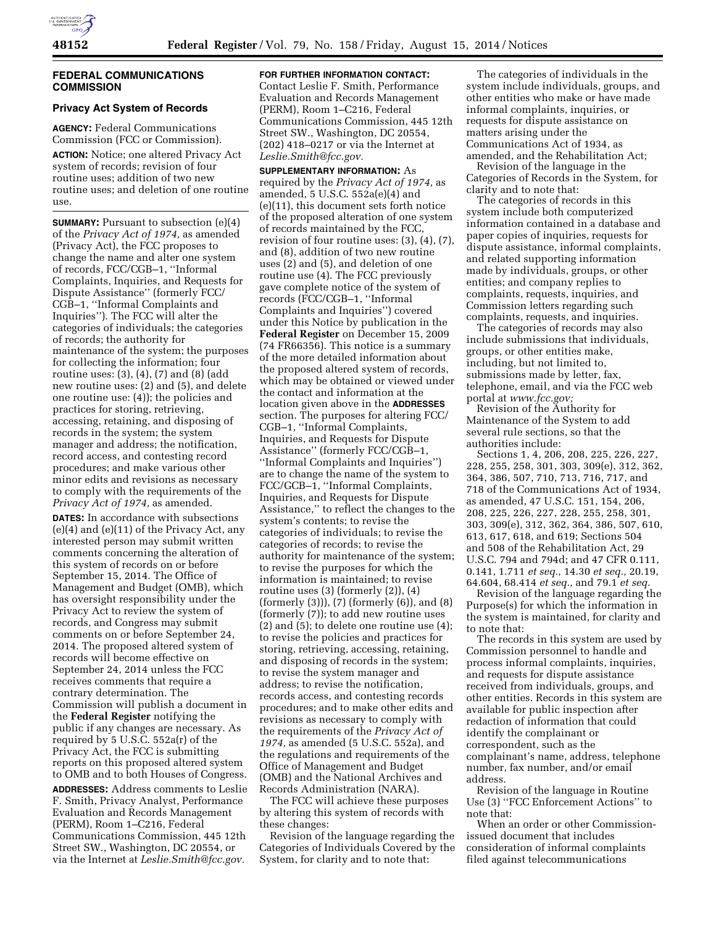# **FEDERAL COMMUNICATIONS COMMISSION**

# **Privacy Act System of Records**

**AGENCY:** Federal Communications Commission (FCC or Commission).

**ACTION:** Notice; one altered Privacy Act system of records; revision of four routine uses; addition of two new routine uses; and deletion of one routine use.

**SUMMARY:** Pursuant to subsection (e)(4) of the *Privacy Act of 1974,* as amended (Privacy Act), the FCC proposes to change the name and alter one system of records, FCC/CGB–1, ''Informal Complaints, Inquiries, and Requests for Dispute Assistance'' (formerly FCC/ CGB–1, ''Informal Complaints and Inquiries''). The FCC will alter the categories of individuals; the categories of records; the authority for maintenance of the system; the purposes for collecting the information; four routine uses: (3), (4), (7) and (8) (add new routine uses: (2) and (5), and delete one routine use: (4)); the policies and practices for storing, retrieving, accessing, retaining, and disposing of records in the system; the system manager and address; the notification, record access, and contesting record procedures; and make various other minor edits and revisions as necessary to comply with the requirements of the *Privacy Act of 1974,* as amended.

**DATES:** In accordance with subsections (e)(4) and (e)(11) of the Privacy Act, any interested person may submit written comments concerning the alteration of this system of records on or before September 15, 2014. The Office of Management and Budget (OMB), which has oversight responsibility under the Privacy Act to review the system of records, and Congress may submit comments on or before September 24, 2014. The proposed altered system of records will become effective on September 24, 2014 unless the FCC receives comments that require a contrary determination. The Commission will publish a document in the **Federal Register** notifying the public if any changes are necessary. As required by 5 U.S.C. 552a(r) of the Privacy Act, the FCC is submitting reports on this proposed altered system to OMB and to both Houses of Congress.

**ADDRESSES:** Address comments to Leslie F. Smith, Privacy Analyst, Performance Evaluation and Records Management (PERM), Room 1–C216, Federal Communications Commission, 445 12th Street SW., Washington, DC 20554, or via the Internet at *[Leslie.Smith@fcc.gov.](mailto:Leslie.Smith@fcc.gov)* 

**FOR FURTHER INFORMATION CONTACT:**  Contact Leslie F. Smith, Performance Evaluation and Records Management (PERM), Room 1–C216, Federal Communications Commission, 445 12th Street SW., Washington, DC 20554, (202) 418–0217 or via the Internet at *[Leslie.Smith@fcc.gov.](mailto:Leslie.Smith@fcc.gov)* 

**SUPPLEMENTARY INFORMATION:** As required by the *Privacy Act of 1974,* as amended, 5 U.S.C. 552a(e)(4) and (e)(11), this document sets forth notice of the proposed alteration of one system of records maintained by the FCC, revision of four routine uses: (3), (4), (7), and (8), addition of two new routine uses (2) and (5), and deletion of one routine use (4). The FCC previously gave complete notice of the system of records (FCC/CGB–1, ''Informal Complaints and Inquiries'') covered under this Notice by publication in the **Federal Register** on December 15, 2009 (74 FR66356). This notice is a summary of the more detailed information about the proposed altered system of records, which may be obtained or viewed under the contact and information at the location given above in the **ADDRESSES** section. The purposes for altering FCC/ CGB–1, ''Informal Complaints, Inquiries, and Requests for Dispute Assistance'' (formerly FCC/CGB–1, ''Informal Complaints and Inquiries'') are to change the name of the system to FCC/GCB–1, ''Informal Complaints, Inquiries, and Requests for Dispute Assistance,'' to reflect the changes to the system's contents; to revise the categories of individuals; to revise the categories of records; to revise the authority for maintenance of the system; to revise the purposes for which the information is maintained; to revise routine uses (3) (formerly (2)), (4) (formerly (3))), (7) (formerly (6)), and (8) (formerly (7)); to add new routine uses (2) and (5); to delete one routine use (4); to revise the policies and practices for storing, retrieving, accessing, retaining, and disposing of records in the system; to revise the system manager and address; to revise the notification, records access, and contesting records procedures; and to make other edits and revisions as necessary to comply with the requirements of the *Privacy Act of 1974,* as amended (5 U.S.C. 552a), and the regulations and requirements of the Office of Management and Budget (OMB) and the National Archives and Records Administration (NARA).

The FCC will achieve these purposes by altering this system of records with these changes:

Revision of the language regarding the Categories of Individuals Covered by the System, for clarity and to note that:

The categories of individuals in the system include individuals, groups, and other entities who make or have made informal complaints, inquiries, or requests for dispute assistance on matters arising under the Communications Act of 1934, as amended, and the Rehabilitation Act;

Revision of the language in the Categories of Records in the System, for clarity and to note that:

The categories of records in this system include both computerized information contained in a database and paper copies of inquiries, requests for dispute assistance, informal complaints, and related supporting information made by individuals, groups, or other entities; and company replies to complaints, requests, inquiries, and Commission letters regarding such complaints, requests, and inquiries.

The categories of records may also include submissions that individuals, groups, or other entities make, including, but not limited to, submissions made by letter, fax, telephone, email, and via the FCC web portal at *[www.fcc.gov;](http://www.fcc.gov)* 

Revision of the Authority for Maintenance of the System to add several rule sections, so that the authorities include:

Sections 1, 4, 206, 208, 225, 226, 227, 228, 255, 258, 301, 303, 309(e), 312, 362, 364, 386, 507, 710, 713, 716, 717, and 718 of the Communications Act of 1934, as amended, 47 U.S.C. 151, 154, 206, 208, 225, 226, 227, 228, 255, 258, 301, 303, 309(e), 312, 362, 364, 386, 507, 610, 613, 617, 618, and 619; Sections 504 and 508 of the Rehabilitation Act, 29 U.S.C. 794 and 794d; and 47 CFR 0.111, 0.141, 1.711 *et seq.,* 14.30 *et seq.,* 20.19, 64.604, 68.414 *et seq.,* and 79.1 *et seq.* 

Revision of the language regarding the Purpose(s) for which the information in the system is maintained, for clarity and to note that:

The records in this system are used by Commission personnel to handle and process informal complaints, inquiries, and requests for dispute assistance received from individuals, groups, and other entities. Records in this system are available for public inspection after redaction of information that could identify the complainant or correspondent, such as the complainant's name, address, telephone number, fax number, and/or email address.

Revision of the language in Routine Use (3) ''FCC Enforcement Actions'' to note that:

When an order or other Commissionissued document that includes consideration of informal complaints filed against telecommunications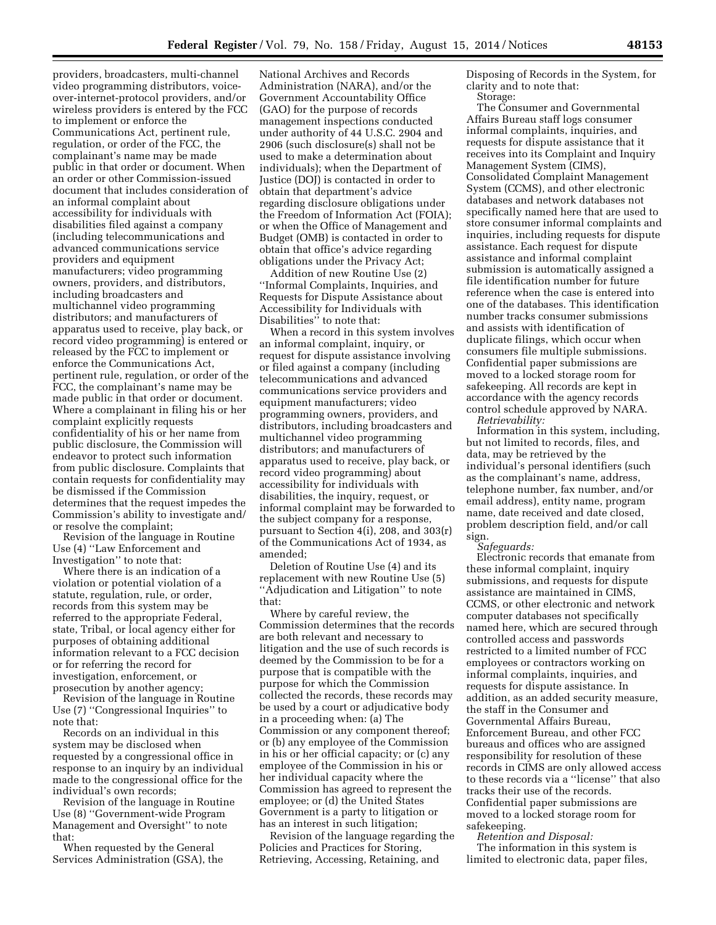providers, broadcasters, multi-channel video programming distributors, voiceover-internet-protocol providers, and/or wireless providers is entered by the FCC to implement or enforce the Communications Act, pertinent rule, regulation, or order of the FCC, the complainant's name may be made public in that order or document. When an order or other Commission-issued document that includes consideration of an informal complaint about accessibility for individuals with disabilities filed against a company (including telecommunications and advanced communications service providers and equipment manufacturers; video programming owners, providers, and distributors, including broadcasters and multichannel video programming distributors; and manufacturers of apparatus used to receive, play back, or record video programming) is entered or released by the FCC to implement or enforce the Communications Act, pertinent rule, regulation, or order of the FCC, the complainant's name may be made public in that order or document. Where a complainant in filing his or her complaint explicitly requests confidentiality of his or her name from public disclosure, the Commission will endeavor to protect such information from public disclosure. Complaints that contain requests for confidentiality may be dismissed if the Commission determines that the request impedes the Commission's ability to investigate and/ or resolve the complaint;

Revision of the language in Routine Use (4) ''Law Enforcement and Investigation'' to note that:

Where there is an indication of a violation or potential violation of a statute, regulation, rule, or order, records from this system may be referred to the appropriate Federal, state, Tribal, or local agency either for purposes of obtaining additional information relevant to a FCC decision or for referring the record for investigation, enforcement, or prosecution by another agency;

Revision of the language in Routine Use (7) ''Congressional Inquiries'' to note that:

Records on an individual in this system may be disclosed when requested by a congressional office in response to an inquiry by an individual made to the congressional office for the individual's own records;

Revision of the language in Routine Use (8) ''Government-wide Program Management and Oversight'' to note that:

When requested by the General Services Administration (GSA), the

National Archives and Records Administration (NARA), and/or the Government Accountability Office (GAO) for the purpose of records management inspections conducted under authority of 44 U.S.C. 2904 and 2906 (such disclosure(s) shall not be used to make a determination about individuals); when the Department of Justice (DOJ) is contacted in order to obtain that department's advice regarding disclosure obligations under the Freedom of Information Act (FOIA); or when the Office of Management and Budget (OMB) is contacted in order to obtain that office's advice regarding obligations under the Privacy Act;

Addition of new Routine Use (2) ''Informal Complaints, Inquiries, and Requests for Dispute Assistance about Accessibility for Individuals with Disabilities'' to note that:

When a record in this system involves an informal complaint, inquiry, or request for dispute assistance involving or filed against a company (including telecommunications and advanced communications service providers and equipment manufacturers; video programming owners, providers, and distributors, including broadcasters and multichannel video programming distributors; and manufacturers of apparatus used to receive, play back, or record video programming) about accessibility for individuals with disabilities, the inquiry, request, or informal complaint may be forwarded to the subject company for a response, pursuant to Section 4(i), 208, and 303(r) of the Communications Act of 1934, as amended;

Deletion of Routine Use (4) and its replacement with new Routine Use (5) ''Adjudication and Litigation'' to note that:

Where by careful review, the Commission determines that the records are both relevant and necessary to litigation and the use of such records is deemed by the Commission to be for a purpose that is compatible with the purpose for which the Commission collected the records, these records may be used by a court or adjudicative body in a proceeding when: (a) The Commission or any component thereof; or (b) any employee of the Commission in his or her official capacity; or (c) any employee of the Commission in his or her individual capacity where the Commission has agreed to represent the employee; or (d) the United States Government is a party to litigation or has an interest in such litigation;

Revision of the language regarding the Policies and Practices for Storing, Retrieving, Accessing, Retaining, and

Disposing of Records in the System, for clarity and to note that:

Storage:

The Consumer and Governmental Affairs Bureau staff logs consumer informal complaints, inquiries, and requests for dispute assistance that it receives into its Complaint and Inquiry Management System (CIMS), Consolidated Complaint Management System (CCMS), and other electronic databases and network databases not specifically named here that are used to store consumer informal complaints and inquiries, including requests for dispute assistance. Each request for dispute assistance and informal complaint submission is automatically assigned a file identification number for future reference when the case is entered into one of the databases. This identification number tracks consumer submissions and assists with identification of duplicate filings, which occur when consumers file multiple submissions. Confidential paper submissions are moved to a locked storage room for safekeeping. All records are kept in accordance with the agency records control schedule approved by NARA. *Retrievability:* 

Information in this system, including, but not limited to records, files, and data, may be retrieved by the individual's personal identifiers (such as the complainant's name, address, telephone number, fax number, and/or email address), entity name, program name, date received and date closed, problem description field, and/or call sign.

*Safeguards:* 

Electronic records that emanate from these informal complaint, inquiry submissions, and requests for dispute assistance are maintained in CIMS, CCMS, or other electronic and network computer databases not specifically named here, which are secured through controlled access and passwords restricted to a limited number of FCC employees or contractors working on informal complaints, inquiries, and requests for dispute assistance. In addition, as an added security measure, the staff in the Consumer and Governmental Affairs Bureau, Enforcement Bureau, and other FCC bureaus and offices who are assigned responsibility for resolution of these records in CIMS are only allowed access to these records via a ''license'' that also tracks their use of the records. Confidential paper submissions are moved to a locked storage room for safekeeping.

*Retention and Disposal:*  The information in this system is limited to electronic data, paper files,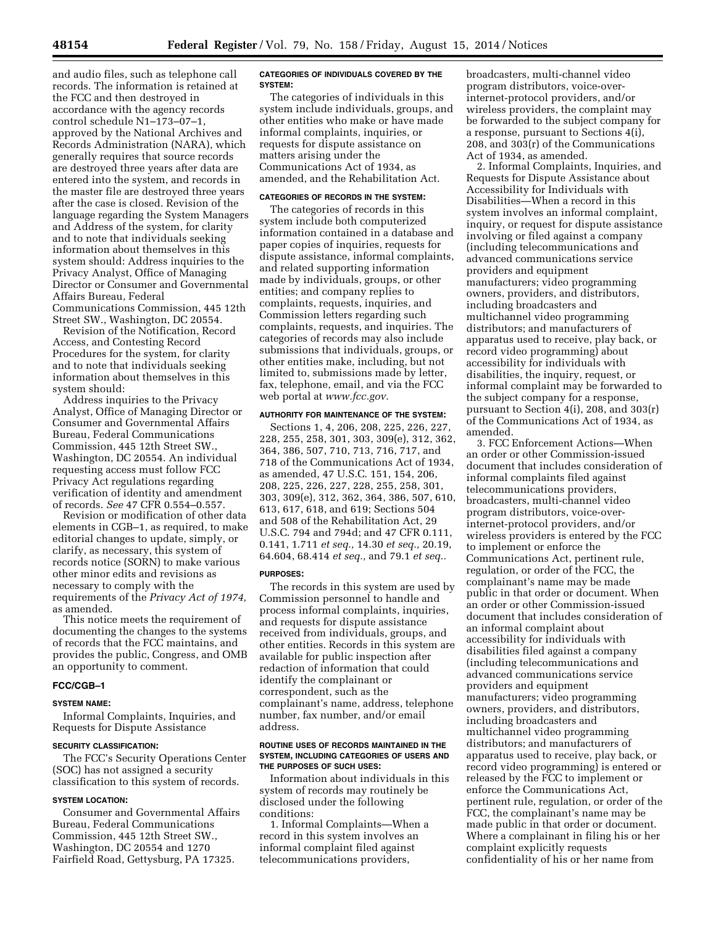and audio files, such as telephone call records. The information is retained at the FCC and then destroyed in accordance with the agency records control schedule N1–173–07–1, approved by the National Archives and Records Administration (NARA), which generally requires that source records are destroyed three years after data are entered into the system, and records in the master file are destroyed three years after the case is closed. Revision of the language regarding the System Managers and Address of the system, for clarity and to note that individuals seeking information about themselves in this system should: Address inquiries to the Privacy Analyst, Office of Managing Director or Consumer and Governmental Affairs Bureau, Federal Communications Commission, 445 12th Street SW., Washington, DC 20554.

Revision of the Notification, Record Access, and Contesting Record Procedures for the system, for clarity and to note that individuals seeking information about themselves in this system should:

Address inquiries to the Privacy Analyst, Office of Managing Director or Consumer and Governmental Affairs Bureau, Federal Communications Commission, 445 12th Street SW., Washington, DC 20554. An individual requesting access must follow FCC Privacy Act regulations regarding verification of identity and amendment of records. *See* 47 CFR 0.554–0.557.

Revision or modification of other data elements in CGB–1, as required, to make editorial changes to update, simply, or clarify, as necessary, this system of records notice (SORN) to make various other minor edits and revisions as necessary to comply with the requirements of the *Privacy Act of 1974,*  as amended.

This notice meets the requirement of documenting the changes to the systems of records that the FCC maintains, and provides the public, Congress, and OMB an opportunity to comment.

# **FCC/CGB–1**

### **SYSTEM NAME:**

Informal Complaints, Inquiries, and Requests for Dispute Assistance

#### **SECURITY CLASSIFICATION:**

The FCC's Security Operations Center (SOC) has not assigned a security classification to this system of records.

### **SYSTEM LOCATION:**

Consumer and Governmental Affairs Bureau, Federal Communications Commission, 445 12th Street SW., Washington, DC 20554 and 1270 Fairfield Road, Gettysburg, PA 17325.

### **CATEGORIES OF INDIVIDUALS COVERED BY THE SYSTEM:**

The categories of individuals in this system include individuals, groups, and other entities who make or have made informal complaints, inquiries, or requests for dispute assistance on matters arising under the Communications Act of 1934, as amended, and the Rehabilitation Act.

# **CATEGORIES OF RECORDS IN THE SYSTEM:**

The categories of records in this system include both computerized information contained in a database and paper copies of inquiries, requests for dispute assistance, informal complaints, and related supporting information made by individuals, groups, or other entities; and company replies to complaints, requests, inquiries, and Commission letters regarding such complaints, requests, and inquiries. The categories of records may also include submissions that individuals, groups, or other entities make, including, but not limited to, submissions made by letter, fax, telephone, email, and via the FCC web portal at *[www.fcc.gov.](http://www.fcc.gov)* 

### **AUTHORITY FOR MAINTENANCE OF THE SYSTEM:**

Sections 1, 4, 206, 208, 225, 226, 227, 228, 255, 258, 301, 303, 309(e), 312, 362, 364, 386, 507, 710, 713, 716, 717, and 718 of the Communications Act of 1934, as amended, 47 U.S.C. 151, 154, 206, 208, 225, 226, 227, 228, 255, 258, 301, 303, 309(e), 312, 362, 364, 386, 507, 610, 613, 617, 618, and 619; Sections 504 and 508 of the Rehabilitation Act, 29 U.S.C. 794 and 794d; and 47 CFR 0.111, 0.141, 1.711 *et seq.,* 14.30 *et seq.,* 20.19, 64.604, 68.414 *et seq.,* and 79.1 *et seq..* 

### **PURPOSES:**

The records in this system are used by Commission personnel to handle and process informal complaints, inquiries, and requests for dispute assistance received from individuals, groups, and other entities. Records in this system are available for public inspection after redaction of information that could identify the complainant or correspondent, such as the complainant's name, address, telephone number, fax number, and/or email address.

### **ROUTINE USES OF RECORDS MAINTAINED IN THE SYSTEM, INCLUDING CATEGORIES OF USERS AND THE PURPOSES OF SUCH USES:**

Information about individuals in this system of records may routinely be disclosed under the following conditions:

1. Informal Complaints—When a record in this system involves an informal complaint filed against telecommunications providers,

broadcasters, multi-channel video program distributors, voice-overinternet-protocol providers, and/or wireless providers, the complaint may be forwarded to the subject company for a response, pursuant to Sections 4(i), 208, and 303(r) of the Communications Act of 1934, as amended.

2. Informal Complaints, Inquiries, and Requests for Dispute Assistance about Accessibility for Individuals with Disabilities—When a record in this system involves an informal complaint, inquiry, or request for dispute assistance involving or filed against a company (including telecommunications and advanced communications service providers and equipment manufacturers; video programming owners, providers, and distributors, including broadcasters and multichannel video programming distributors; and manufacturers of apparatus used to receive, play back, or record video programming) about accessibility for individuals with disabilities, the inquiry, request, or informal complaint may be forwarded to the subject company for a response, pursuant to Section 4(i), 208, and 303(r) of the Communications Act of 1934, as amended.

3. FCC Enforcement Actions—When an order or other Commission-issued document that includes consideration of informal complaints filed against telecommunications providers, broadcasters, multi-channel video program distributors, voice-overinternet-protocol providers, and/or wireless providers is entered by the FCC to implement or enforce the Communications Act, pertinent rule, regulation, or order of the FCC, the complainant's name may be made public in that order or document. When an order or other Commission-issued document that includes consideration of an informal complaint about accessibility for individuals with disabilities filed against a company (including telecommunications and advanced communications service providers and equipment manufacturers; video programming owners, providers, and distributors, including broadcasters and multichannel video programming distributors; and manufacturers of apparatus used to receive, play back, or record video programming) is entered or released by the FCC to implement or enforce the Communications Act, pertinent rule, regulation, or order of the FCC, the complainant's name may be made public in that order or document. Where a complainant in filing his or her complaint explicitly requests confidentiality of his or her name from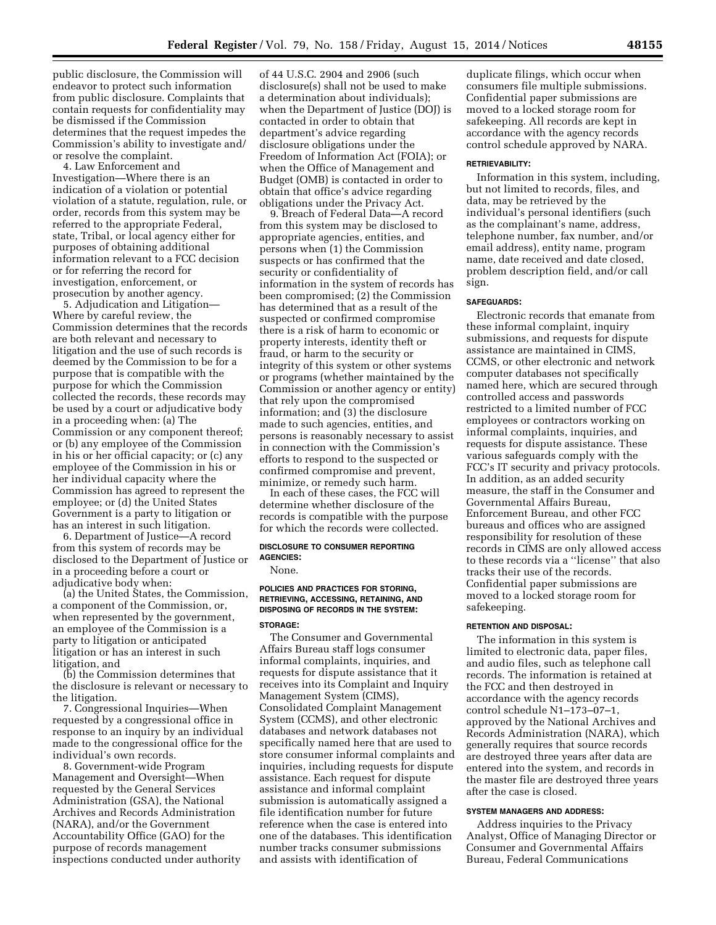public disclosure, the Commission will endeavor to protect such information from public disclosure. Complaints that contain requests for confidentiality may be dismissed if the Commission determines that the request impedes the Commission's ability to investigate and/ or resolve the complaint.

4. Law Enforcement and Investigation—Where there is an indication of a violation or potential violation of a statute, regulation, rule, or order, records from this system may be referred to the appropriate Federal, state, Tribal, or local agency either for purposes of obtaining additional information relevant to a FCC decision or for referring the record for investigation, enforcement, or prosecution by another agency.

5. Adjudication and Litigation— Where by careful review, the Commission determines that the records are both relevant and necessary to litigation and the use of such records is deemed by the Commission to be for a purpose that is compatible with the purpose for which the Commission collected the records, these records may be used by a court or adjudicative body in a proceeding when: (a) The Commission or any component thereof; or (b) any employee of the Commission in his or her official capacity; or (c) any employee of the Commission in his or her individual capacity where the Commission has agreed to represent the employee; or (d) the United States Government is a party to litigation or has an interest in such litigation.

6. Department of Justice—A record from this system of records may be disclosed to the Department of Justice or in a proceeding before a court or adjudicative body when:

(a) the United States, the Commission, a component of the Commission, or, when represented by the government, an employee of the Commission is a party to litigation or anticipated litigation or has an interest in such litigation, and

(b) the Commission determines that the disclosure is relevant or necessary to the litigation.

7. Congressional Inquiries—When requested by a congressional office in response to an inquiry by an individual made to the congressional office for the individual's own records.

8. Government-wide Program Management and Oversight—When requested by the General Services Administration (GSA), the National Archives and Records Administration (NARA), and/or the Government Accountability Office (GAO) for the purpose of records management inspections conducted under authority

of 44 U.S.C. 2904 and 2906 (such disclosure(s) shall not be used to make a determination about individuals); when the Department of Justice (DOJ) is contacted in order to obtain that department's advice regarding disclosure obligations under the Freedom of Information Act (FOIA); or when the Office of Management and Budget (OMB) is contacted in order to obtain that office's advice regarding obligations under the Privacy Act.

9. Breach of Federal Data—A record from this system may be disclosed to appropriate agencies, entities, and persons when (1) the Commission suspects or has confirmed that the security or confidentiality of information in the system of records has been compromised; (2) the Commission has determined that as a result of the suspected or confirmed compromise there is a risk of harm to economic or property interests, identity theft or fraud, or harm to the security or integrity of this system or other systems or programs (whether maintained by the Commission or another agency or entity) that rely upon the compromised information; and (3) the disclosure made to such agencies, entities, and persons is reasonably necessary to assist in connection with the Commission's efforts to respond to the suspected or confirmed compromise and prevent, minimize, or remedy such harm.

In each of these cases, the FCC will determine whether disclosure of the records is compatible with the purpose for which the records were collected.

# **DISCLOSURE TO CONSUMER REPORTING AGENCIES:**

None.

### **POLICIES AND PRACTICES FOR STORING, RETRIEVING, ACCESSING, RETAINING, AND DISPOSING OF RECORDS IN THE SYSTEM:**

### **STORAGE:**

The Consumer and Governmental Affairs Bureau staff logs consumer informal complaints, inquiries, and requests for dispute assistance that it receives into its Complaint and Inquiry Management System (CIMS), Consolidated Complaint Management System (CCMS), and other electronic databases and network databases not specifically named here that are used to store consumer informal complaints and inquiries, including requests for dispute assistance. Each request for dispute assistance and informal complaint submission is automatically assigned a file identification number for future reference when the case is entered into one of the databases. This identification number tracks consumer submissions and assists with identification of

duplicate filings, which occur when consumers file multiple submissions. Confidential paper submissions are moved to a locked storage room for safekeeping. All records are kept in accordance with the agency records control schedule approved by NARA.

#### **RETRIEVABILITY:**

Information in this system, including, but not limited to records, files, and data, may be retrieved by the individual's personal identifiers (such as the complainant's name, address, telephone number, fax number, and/or email address), entity name, program name, date received and date closed, problem description field, and/or call sign.

### **SAFEGUARDS:**

Electronic records that emanate from these informal complaint, inquiry submissions, and requests for dispute assistance are maintained in CIMS, CCMS, or other electronic and network computer databases not specifically named here, which are secured through controlled access and passwords restricted to a limited number of FCC employees or contractors working on informal complaints, inquiries, and requests for dispute assistance. These various safeguards comply with the FCC's IT security and privacy protocols. In addition, as an added security measure, the staff in the Consumer and Governmental Affairs Bureau, Enforcement Bureau, and other FCC bureaus and offices who are assigned responsibility for resolution of these records in CIMS are only allowed access to these records via a ''license'' that also tracks their use of the records. Confidential paper submissions are moved to a locked storage room for safekeeping.

### **RETENTION AND DISPOSAL:**

The information in this system is limited to electronic data, paper files, and audio files, such as telephone call records. The information is retained at the FCC and then destroyed in accordance with the agency records control schedule N1–173–07–1, approved by the National Archives and Records Administration (NARA), which generally requires that source records are destroyed three years after data are entered into the system, and records in the master file are destroyed three years after the case is closed.

# **SYSTEM MANAGERS AND ADDRESS:**

Address inquiries to the Privacy Analyst, Office of Managing Director or Consumer and Governmental Affairs Bureau, Federal Communications